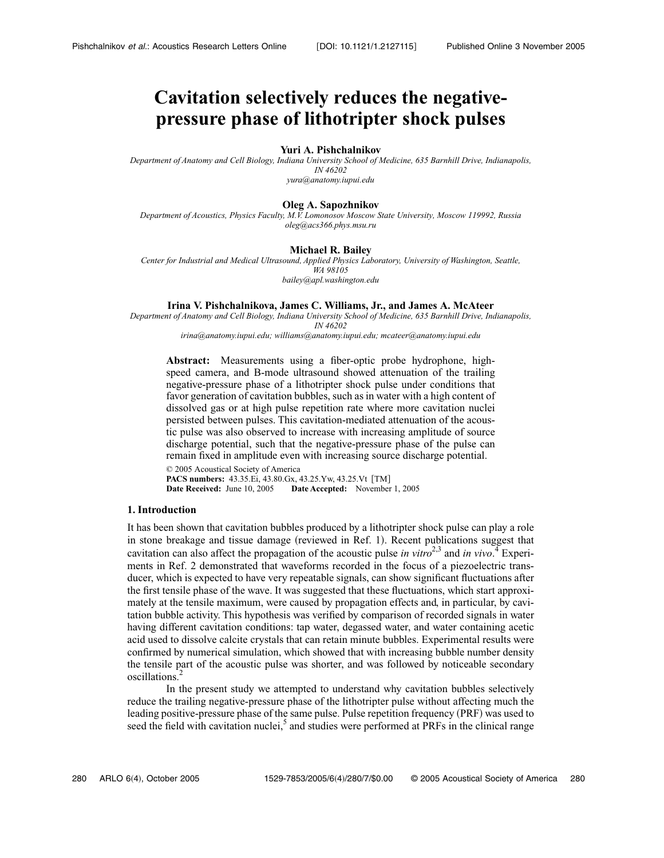# **Cavitation selectively reduces the negativepressure phase of lithotripter shock pulses**

#### **Yuri A. Pishchalnikov**

*Department of Anatomy and Cell Biology, Indiana University School of Medicine, 635 Barnhill Drive, Indianapolis, IN 46202 yura@anatomy.iupui.edu*

### **Oleg A. Sapozhnikov**

*Department of Acoustics, Physics Faculty, M.V. Lomonosov Moscow State University, Moscow 119992, Russia oleg@acs366.phys.msu.ru*

#### **Michael R. Bailey**

*Center for Industrial and Medical Ultrasound, Applied Physics Laboratory, University of Washington, Seattle, WA 98105 bailey@apl.washington.edu*

#### **Irina V. Pishchalnikova, James C. Williams, Jr., and James A. McAteer**

*Department of Anatomy and Cell Biology, Indiana University School of Medicine, 635 Barnhill Drive, Indianapolis,*

*IN 46202*

*irina@anatomy.iupui.edu; williams@anatomy.iupui.edu; mcateer@anatomy.iupui.edu*

**Abstract:** Measurements using a fiber-optic probe hydrophone, highspeed camera, and B-mode ultrasound showed attenuation of the trailing negative-pressure phase of a lithotripter shock pulse under conditions that favor generation of cavitation bubbles, such as in water with a high content of dissolved gas or at high pulse repetition rate where more cavitation nuclei persisted between pulses. This cavitation-mediated attenuation of the acoustic pulse was also observed to increase with increasing amplitude of source discharge potential, such that the negative-pressure phase of the pulse can remain fixed in amplitude even with increasing source discharge potential.

© 2005 Acoustical Society of America **PACS numbers:** 43.35.Ei, 43.80.Gx, 43.25.Yw, 43.25.Vt TM- **Date Received:** June 10, 2005 **Date Accepted:** November 1, 2005

# **1. Introduction**

It has been shown that cavitation bubbles produced by a lithotripter shock pulse can play a role in stone breakage and tissue damage (reviewed in Ref. 1). Recent publications suggest that cavitation can also affect the propagation of the acoustic pulse *in vitro*<sup>2,3</sup> and *in vivo*.<sup>4</sup> Experiments in Ref. 2 demonstrated that waveforms recorded in the focus of a piezoelectric transducer, which is expected to have very repeatable signals, can show significant fluctuations after the first tensile phase of the wave. It was suggested that these fluctuations, which start approximately at the tensile maximum, were caused by propagation effects and, in particular, by cavitation bubble activity. This hypothesis was verified by comparison of recorded signals in water having different cavitation conditions: tap water, degassed water, and water containing acetic acid used to dissolve calcite crystals that can retain minute bubbles. Experimental results were confirmed by numerical simulation, which showed that with increasing bubble number density the tensile part of the acoustic pulse was shorter, and was followed by noticeable secondary oscillations.<sup>2</sup>

In the present study we attempted to understand why cavitation bubbles selectively reduce the trailing negative-pressure phase of the lithotripter pulse without affecting much the leading positive-pressure phase of the same pulse. Pulse repetition frequency (PRF) was used to seed the field with cavitation nuclei, $<sup>5</sup>$  and studies were performed at PRFs in the clinical range</sup>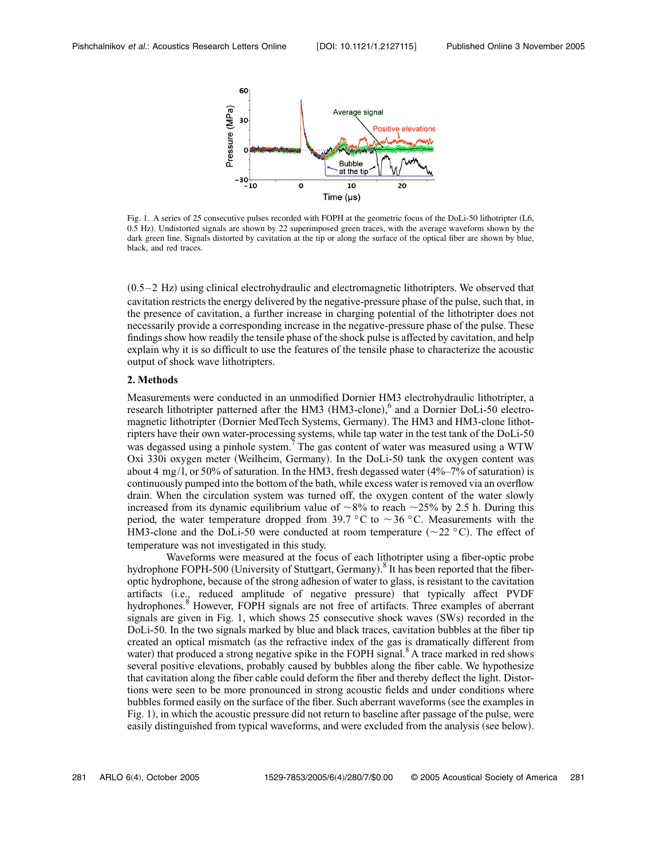

Fig. 1. A series of 25 consecutive pulses recorded with FOPH at the geometric focus of the DoLi-50 lithotripter L6, 0.5 Hz). Undistorted signals are shown by 22 superimposed green traces, with the average waveform shown by the dark green line. Signals distorted by cavitation at the tip or along the surface of the optical fiber are shown by blue, black, and red traces.

 $(0.5-2 \text{ Hz})$  using clinical electrohydraulic and electromagnetic lithotripters. We observed that cavitation restricts the energy delivered by the negative-pressure phase of the pulse, such that, in the presence of cavitation, a further increase in charging potential of the lithotripter does not necessarily provide a corresponding increase in the negative-pressure phase of the pulse. These findings show how readily the tensile phase of the shock pulse is affected by cavitation, and help explain why it is so difficult to use the features of the tensile phase to characterize the acoustic output of shock wave lithotripters.

# **2. Methods**

Measurements were conducted in an unmodified Dornier HM3 electrohydraulic lithotripter, a research lithotripter patterned after the HM3 (HM3-clone),<sup>6</sup> and a Dornier DoLi-50 electromagnetic lithotripter (Dornier MedTech Systems, Germany). The HM3 and HM3-clone lithotripters have their own water-processing systems, while tap water in the test tank of the DoLi-50 was degassed using a pinhole system.<sup>7</sup> The gas content of water was measured using a WTW Oxi 330i oxygen meter Weilheim, Germany. In the DoLi-50 tank the oxygen content was about 4 mg/l, or 50% of saturation. In the HM3, fresh degassed water  $(4\%-7\%)$  of saturation) is continuously pumped into the bottom of the bath, while excess water is removed via an overflow drain. When the circulation system was turned off, the oxygen content of the water slowly increased from its dynamic equilibrium value of  $\sim 8\%$  to reach  $\sim 25\%$  by 2.5 h. During this period, the water temperature dropped from 39.7 °C to  $\sim$  36 °C. Measurements with the HM3-clone and the DoLi-50 were conducted at room temperature  $(\sim 22 \degree C)$ . The effect of temperature was not investigated in this study.

Waveforms were measured at the focus of each lithotripter using a fiber-optic probe hydrophone FOPH-500 (University of Stuttgart, Germany).<sup>8</sup> It has been reported that the fiberoptic hydrophone, because of the strong adhesion of water to glass, is resistant to the cavitation artifacts (i.e., reduced amplitude of negative pressure) that typically affect PVDF hydrophones.<sup>8</sup> However, FOPH signals are not free of artifacts. Three examples of aberrant signals are given in Fig. 1, which shows  $25$  consecutive shock waves  $(SWs)$  recorded in the DoLi-50. In the two signals marked by blue and black traces, cavitation bubbles at the fiber tip created an optical mismatch (as the refractive index of the gas is dramatically different from water) that produced a strong negative spike in the FOPH signal.<sup>8</sup> A trace marked in red shows several positive elevations, probably caused by bubbles along the fiber cable. We hypothesize that cavitation along the fiber cable could deform the fiber and thereby deflect the light. Distortions were seen to be more pronounced in strong acoustic fields and under conditions where bubbles formed easily on the surface of the fiber. Such aberrant waveforms (see the examples in Fig. 1, in which the acoustic pressure did not return to baseline after passage of the pulse, were easily distinguished from typical waveforms, and were excluded from the analysis (see below).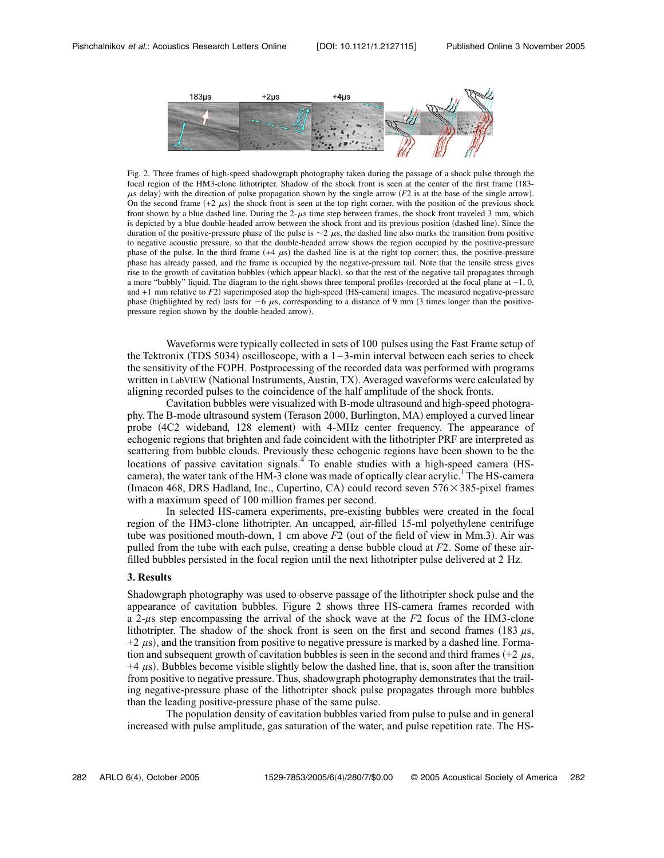

Fig. 2. Three frames of high-speed shadowgraph photography taken during the passage of a shock pulse through the focal region of the HM3-clone lithotripter. Shadow of the shock front is seen at the center of the first frame 183-  $\mu$ s delay) with the direction of pulse propagation shown by the single arrow *(F2* is at the base of the single arrow). On the second frame  $(+2 \mu s)$  the shock front is seen at the top right corner, with the position of the previous shock front shown by a blue dashed line. During the  $2-\mu s$  time step between frames, the shock front traveled 3 mm, which is depicted by a blue double-headed arrow between the shock front and its previous position (dashed line). Since the duration of the positive-pressure phase of the pulse is  $\sim$  2  $\mu$ s, the dashed line also marks the transition from positive to negative acoustic pressure, so that the double-headed arrow shows the region occupied by the positive-pressure phase of the pulse. In the third frame  $(+4 \mu s)$  the dashed line is at the right top corner; thus, the positive-pressure phase has already passed, and the frame is occupied by the negative-pressure tail. Note that the tensile stress gives rise to the growth of cavitation bubbles (which appear black), so that the rest of the negative tail propagates through a more "bubbly" liquid. The diagram to the right shows three temporal profiles (recorded at the focal plane at −1, 0, and  $+1$  mm relative to  $F2$ ) superimposed atop the high-speed (HS-camera) images. The measured negative-pressure phase (highlighted by red) lasts for  $\sim$  6  $\mu$ s, corresponding to a distance of 9 mm (3 times longer than the positivepressure region shown by the double-headed arrow).

Waveforms were typically collected in sets of 100 pulses using the Fast Frame setup of the Tektronix (TDS 5034) oscilloscope, with a  $1-3$ -min interval between each series to check the sensitivity of the FOPH. Postprocessing of the recorded data was performed with programs written in LabVIEW (National Instruments, Austin, TX). Averaged waveforms were calculated by aligning recorded pulses to the coincidence of the half amplitude of the shock fronts.

Cavitation bubbles were visualized with B-mode ultrasound and high-speed photography. The B-mode ultrasound system (Terason 2000, Burlington, MA) employed a curved linear probe (4C2 wideband, 128 element) with 4-MHz center frequency. The appearance of echogenic regions that brighten and fade coincident with the lithotripter PRF are interpreted as scattering from bubble clouds. Previously these echogenic regions have been shown to be the locations of passive cavitation signals.<sup>4</sup> To enable studies with a high-speed camera (HScamera), the water tank of the HM-3 clone was made of optically clear acrylic.<sup>1</sup> The HS-camera (Imacon 468, DRS Hadland, Inc., Cupertino, CA) could record seven  $576 \times 385$ -pixel frames with a maximum speed of 100 million frames per second.

In selected HS-camera experiments, pre-existing bubbles were created in the focal region of the HM3-clone lithotripter. An uncapped, air-filled 15-ml polyethylene centrifuge tube was positioned mouth-down, 1 cm above *F*2 (out of the field of view in Mm.3). Air was pulled from the tube with each pulse, creating a dense bubble cloud at *F*2. Some of these airfilled bubbles persisted in the focal region until the next lithotripter pulse delivered at 2 Hz.

# **3. Results**

Shadowgraph photography was used to observe passage of the lithotripter shock pulse and the appearance of cavitation bubbles. Figure 2 shows three HS-camera frames recorded with a 2-*µ*s step encompassing the arrival of the shock wave at the *F*2 focus of the HM3-clone lithotripter. The shadow of the shock front is seen on the first and second frames (183  $\mu$ s, +2  $\mu$ s), and the transition from positive to negative pressure is marked by a dashed line. Formation and subsequent growth of cavitation bubbles is seen in the second and third frames  $(+2 \mu s,$  $+4 \mu s$ ). Bubbles become visible slightly below the dashed line, that is, soon after the transition from positive to negative pressure. Thus, shadowgraph photography demonstrates that the trailing negative-pressure phase of the lithotripter shock pulse propagates through more bubbles than the leading positive-pressure phase of the same pulse.

The population density of cavitation bubbles varied from pulse to pulse and in general increased with pulse amplitude, gas saturation of the water, and pulse repetition rate. The HS-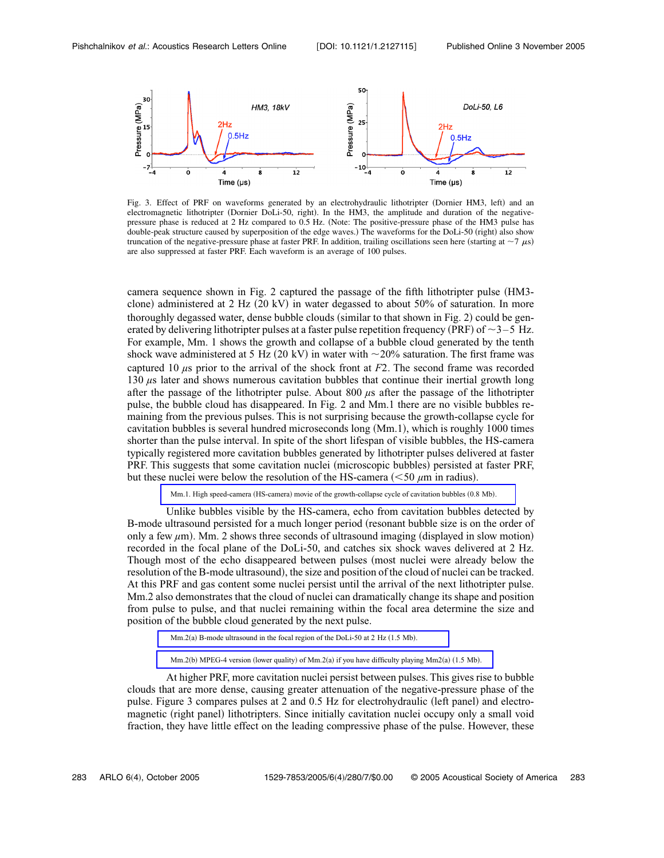

Fig. 3. Effect of PRF on waveforms generated by an electrohydraulic lithotripter (Dornier HM3, left) and an electromagnetic lithotripter (Dornier DoLi-50, right). In the HM3, the amplitude and duration of the negativepressure phase is reduced at 2 Hz compared to 0.5 Hz. Note: The positive-pressure phase of the HM3 pulse has double-peak structure caused by superposition of the edge waves.) The waveforms for the DoLi-50 (right) also show truncation of the negative-pressure phase at faster PRF. In addition, trailing oscillations seen here (starting at  $\sim$ 7  $\mu$ s) are also suppressed at faster PRF. Each waveform is an average of 100 pulses.

camera sequence shown in Fig. 2 captured the passage of the fifth lithotripter pulse (HM3clone) administered at 2 Hz (20 kV) in water degassed to about 50% of saturation. In more thoroughly degassed water, dense bubble clouds (similar to that shown in Fig. 2) could be generated by delivering lithotripter pulses at a faster pulse repetition frequency (PRF) of  $\sim$  3–5 Hz. For example, Mm. 1 shows the growth and collapse of a bubble cloud generated by the tenth shock wave administered at 5 Hz (20 kV) in water with  $\sim$ 20% saturation. The first frame was captured 10 *µ*s prior to the arrival of the shock front at *F*2. The second frame was recorded 130  $\mu$ s later and shows numerous cavitation bubbles that continue their inertial growth long after the passage of the lithotripter pulse. About 800 *µ*s after the passage of the lithotripter pulse, the bubble cloud has disappeared. In Fig. 2 and Mm.1 there are no visible bubbles remaining from the previous pulses. This is not surprising because the growth-collapse cycle for cavitation bubbles is several hundred microseconds long Mm.1, which is roughly 1000 times shorter than the pulse interval. In spite of the short lifespan of visible bubbles, the HS-camera typically registered more cavitation bubbles generated by lithotripter pulses delivered at faster PRF. This suggests that some cavitation nuclei (microscopic bubbles) persisted at faster PRF, but these nuclei were below the resolution of the HS-camera  $(< 50 \mu m$  in radius).

Mm.1. High speed-camera (HS-camera) [movie of the growth-collapse cycle of cavitation bubbles](ftp://ftp.aip.org/epaps/acoust_res_lett/E-ARLOFJ-6-004504/mm1.mov) (0.8 Mb).

Unlike bubbles visible by the HS-camera, echo from cavitation bubbles detected by B-mode ultrasound persisted for a much longer period (resonant bubble size is on the order of only a few  $\mu$ m. 2 shows three seconds of ultrasound imaging (displayed in slow motion) recorded in the focal plane of the DoLi-50, and catches six shock waves delivered at 2 Hz. Though most of the echo disappeared between pulses (most nuclei were already below the resolution of the B-mode ultrasound, the size and position of the cloud of nuclei can be tracked. At this PRF and gas content some nuclei persist until the arrival of the next lithotripter pulse. Mm.2 also demonstrates that the cloud of nuclei can dramatically change its shape and position from pulse to pulse, and that nuclei remaining within the focal area determine the size and position of the bubble cloud generated by the next pulse.

 $Mm.2(a)$  [B-mode ultrasound in the focal region of the DoLi-50 at 2 Hz](ftp://ftp.aip.org/epaps/acoust_res_lett/E-ARLOFJ-6-004504/mm2a.mov) (1.5 Mb).

 $Mm.2(b)$  MPEG-4 version (lower quality) of Mm.2(a) [if you have difficulty playing Mm2](ftp://ftp.aip.org/epaps/acoust_res_lett/E-ARLOFJ-6-004504/mm2b.mp4)(a) (1.5 Mb).

At higher PRF, more cavitation nuclei persist between pulses. This gives rise to bubble clouds that are more dense, causing greater attenuation of the negative-pressure phase of the pulse. Figure 3 compares pulses at 2 and 0.5 Hz for electrohydraulic (left panel) and electromagnetic (right panel) lithotripters. Since initially cavitation nuclei occupy only a small void fraction, they have little effect on the leading compressive phase of the pulse. However, these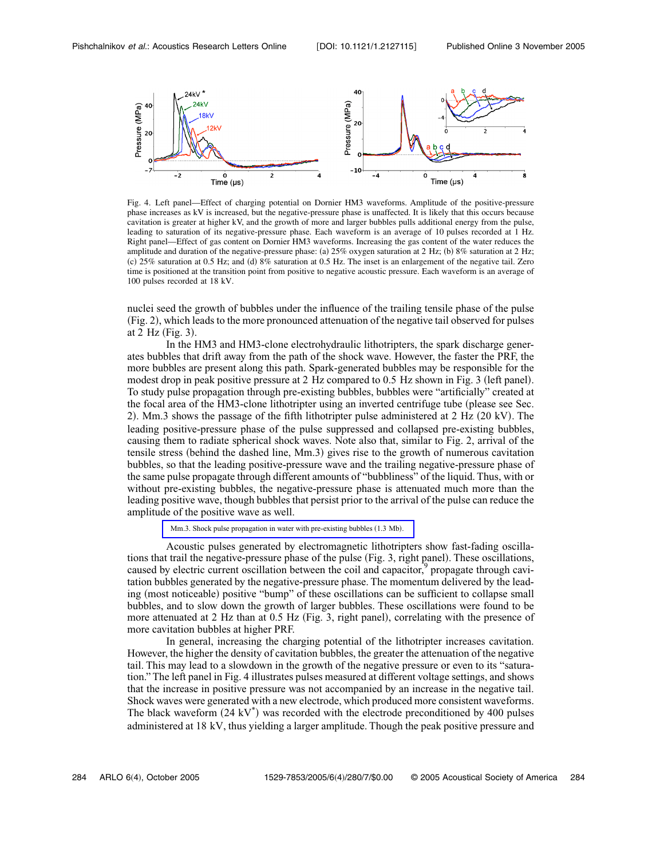

Fig. 4. Left panel—Effect of charging potential on Dornier HM3 waveforms. Amplitude of the positive-pressure phase increases as kV is increased, but the negative-pressure phase is unaffected. It is likely that this occurs because cavitation is greater at higher kV, and the growth of more and larger bubbles pulls additional energy from the pulse, leading to saturation of its negative-pressure phase. Each waveform is an average of 10 pulses recorded at 1 Hz. Right panel—Effect of gas content on Dornier HM3 waveforms. Increasing the gas content of the water reduces the amplitude and duration of the negative-pressure phase: (a)  $25\%$  oxygen saturation at 2 Hz; (b) 8% saturation at 2 Hz; (c) 25% saturation at 0.5 Hz; and (d) 8% saturation at 0.5 Hz. The inset is an enlargement of the negative tail. Zero time is positioned at the transition point from positive to negative acoustic pressure. Each waveform is an average of 100 pulses recorded at 18 kV.

nuclei seed the growth of bubbles under the influence of the trailing tensile phase of the pulse Fig. 2, which leads to the more pronounced attenuation of the negative tail observed for pulses at  $2$  Hz (Fig. 3).

In the HM3 and HM3-clone electrohydraulic lithotripters, the spark discharge generates bubbles that drift away from the path of the shock wave. However, the faster the PRF, the more bubbles are present along this path. Spark-generated bubbles may be responsible for the modest drop in peak positive pressure at 2 Hz compared to 0.5 Hz shown in Fig. 3 (left panel). To study pulse propagation through pre-existing bubbles, bubbles were "artificially" created at the focal area of the HM3-clone lithotripter using an inverted centrifuge tube (please see Sec. 2). Mm.3 shows the passage of the fifth lithotripter pulse administered at  $2 \text{ Hz}$  ( $20 \text{ kV}$ ). The leading positive-pressure phase of the pulse suppressed and collapsed pre-existing bubbles, causing them to radiate spherical shock waves. Note also that, similar to Fig. 2, arrival of the tensile stress (behind the dashed line, Mm.3) gives rise to the growth of numerous cavitation bubbles, so that the leading positive-pressure wave and the trailing negative-pressure phase of the same pulse propagate through different amounts of "bubbliness" of the liquid. Thus, with or without pre-existing bubbles, the negative-pressure phase is attenuated much more than the leading positive wave, though bubbles that persist prior to the arrival of the pulse can reduce the amplitude of the positive wave as well.

[Mm.3. Shock pulse propagation in water with pre-existing bubbles](ftp://ftp.aip.org/epaps/acoust_res_lett/E-ARLOFJ-6-004504/mm3.mov) (1.3 Mb).

Acoustic pulses generated by electromagnetic lithotripters show fast-fading oscillations that trail the negative-pressure phase of the pulse (Fig. 3, right panel). These oscillations, caused by electric current oscillation between the coil and capacitor,<sup>9</sup> propagate through cavitation bubbles generated by the negative-pressure phase. The momentum delivered by the leading (most noticeable) positive "bump" of these oscillations can be sufficient to collapse small bubbles, and to slow down the growth of larger bubbles. These oscillations were found to be more attenuated at 2 Hz than at  $0.5$  Hz (Fig. 3, right panel), correlating with the presence of more cavitation bubbles at higher PRF.

In general, increasing the charging potential of the lithotripter increases cavitation. However, the higher the density of cavitation bubbles, the greater the attenuation of the negative tail. This may lead to a slowdown in the growth of the negative pressure or even to its "saturation." The left panel in Fig. 4 illustrates pulses measured at different voltage settings, and shows that the increase in positive pressure was not accompanied by an increase in the negative tail. Shock waves were generated with a new electrode, which produced more consistent waveforms. The black waveform  $(24 \text{ kV}^*)$  was recorded with the electrode preconditioned by 400 pulses administered at 18 kV, thus yielding a larger amplitude. Though the peak positive pressure and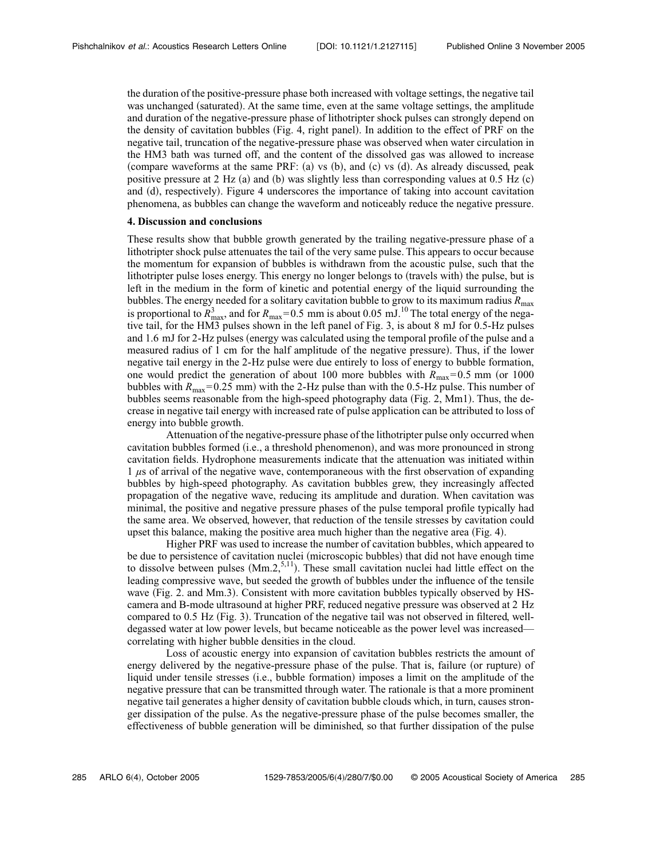the duration of the positive-pressure phase both increased with voltage settings, the negative tail was unchanged (saturated). At the same time, even at the same voltage settings, the amplitude and duration of the negative-pressure phase of lithotripter shock pulses can strongly depend on the density of cavitation bubbles Fig. 4, right panel. In addition to the effect of PRF on the negative tail, truncation of the negative-pressure phase was observed when water circulation in the HM3 bath was turned off, and the content of the dissolved gas was allowed to increase (compare waveforms at the same PRF: (a) vs  $(b)$ , and  $(c)$  vs  $(d)$ . As already discussed, peak positive pressure at 2 Hz (a) and (b) was slightly less than corresponding values at 0.5 Hz (c) and (d), respectively). Figure 4 underscores the importance of taking into account cavitation phenomena, as bubbles can change the waveform and noticeably reduce the negative pressure.

#### **4. Discussion and conclusions**

These results show that bubble growth generated by the trailing negative-pressure phase of a lithotripter shock pulse attenuates the tail of the very same pulse. This appears to occur because the momentum for expansion of bubbles is withdrawn from the acoustic pulse, such that the lithotripter pulse loses energy. This energy no longer belongs to (travels with) the pulse, but is left in the medium in the form of kinetic and potential energy of the liquid surrounding the bubbles. The energy needed for a solitary cavitation bubble to grow to its maximum radius  $R_{\text{max}}$ is proportional to  $\overline{R}_{\text{max}}^3$ , and for  $R_{\text{max}}=0.5$  mm is about 0.05 mJ.<sup>10</sup> The total energy of the negative tail, for the HM3 pulses shown in the left panel of Fig. 3, is about 8 mJ for 0.5-Hz pulses and 1.6 mJ for 2-Hz pulses (energy was calculated using the temporal profile of the pulse and a measured radius of 1 cm for the half amplitude of the negative pressure). Thus, if the lower negative tail energy in the 2-Hz pulse were due entirely to loss of energy to bubble formation, one would predict the generation of about 100 more bubbles with  $R_{\text{max}}=0.5$  mm (or 1000 bubbles with  $R_{\text{max}}=0.25$  mm) with the 2-Hz pulse than with the 0.5-Hz pulse. This number of bubbles seems reasonable from the high-speed photography data (Fig.  $2$ , Mm1). Thus, the decrease in negative tail energy with increased rate of pulse application can be attributed to loss of energy into bubble growth.

Attenuation of the negative-pressure phase of the lithotripter pulse only occurred when cavitation bubbles formed i.e., a threshold phenomenon, and was more pronounced in strong cavitation fields. Hydrophone measurements indicate that the attenuation was initiated within 1 *µ*s of arrival of the negative wave, contemporaneous with the first observation of expanding bubbles by high-speed photography. As cavitation bubbles grew, they increasingly affected propagation of the negative wave, reducing its amplitude and duration. When cavitation was minimal, the positive and negative pressure phases of the pulse temporal profile typically had the same area. We observed, however, that reduction of the tensile stresses by cavitation could upset this balance, making the positive area much higher than the negative area  $(Fig. 4)$ .

Higher PRF was used to increase the number of cavitation bubbles, which appeared to be due to persistence of cavitation nuclei (microscopic bubbles) that did not have enough time to dissolve between pulses  $(Mm.2, ^{5,11})$ . These small cavitation nuclei had little effect on the leading compressive wave, but seeded the growth of bubbles under the influence of the tensile wave (Fig. 2. and Mm.3). Consistent with more cavitation bubbles typically observed by HScamera and B-mode ultrasound at higher PRF, reduced negative pressure was observed at 2 Hz compared to  $0.5$  Hz (Fig. 3). Truncation of the negative tail was not observed in filtered, welldegassed water at low power levels, but became noticeable as the power level was increased correlating with higher bubble densities in the cloud.

Loss of acoustic energy into expansion of cavitation bubbles restricts the amount of energy delivered by the negative-pressure phase of the pulse. That is, failure (or rupture) of liquid under tensile stresses (i.e., bubble formation) imposes a limit on the amplitude of the negative pressure that can be transmitted through water. The rationale is that a more prominent negative tail generates a higher density of cavitation bubble clouds which, in turn, causes stronger dissipation of the pulse. As the negative-pressure phase of the pulse becomes smaller, the effectiveness of bubble generation will be diminished, so that further dissipation of the pulse